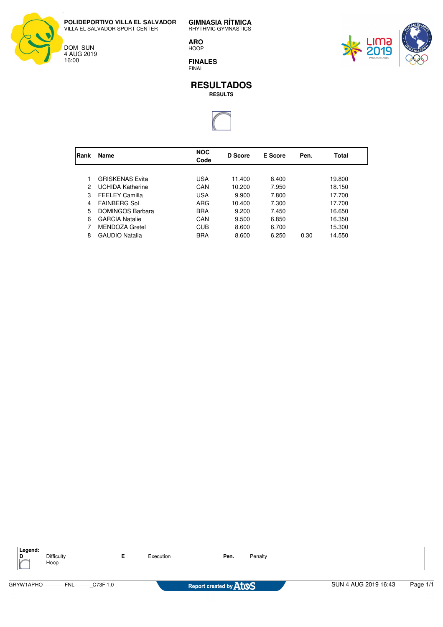DOM SUN 4 AUG 2019 16:00

**GIMNASIA RÍTMICA** RHYTHMIC GYMNASTICS

**ARO** HOOP

**FINALES** FINAL





| Rank | Name                    | <b>NOC</b><br>Code | D Score | <b>E</b> Score | Pen. | Total  |
|------|-------------------------|--------------------|---------|----------------|------|--------|
|      |                         |                    |         |                |      |        |
|      | <b>GRISKENAS Evita</b>  | USA                | 11.400  | 8.400          |      | 19.800 |
| 2    | <b>UCHIDA Katherine</b> | CAN                | 10.200  | 7.950          |      | 18.150 |
| 3    | <b>FEELEY Camilla</b>   | USA                | 9.900   | 7.800          |      | 17.700 |
| 4    | <b>FAINBERG Sol</b>     | ARG                | 10.400  | 7.300          |      | 17.700 |
| 5    | <b>DOMINGOS Barbara</b> | <b>BRA</b>         | 9.200   | 7.450          |      | 16.650 |
| 6    | <b>GARCIA Natalie</b>   | CAN                | 9.500   | 6.850          |      | 16.350 |
|      | <b>MENDOZA Gretel</b>   | <b>CUB</b>         | 8.600   | 6.700          |      | 15.300 |
| 8    | <b>GAUDIO Natalia</b>   | <b>BRA</b>         | 8.600   | 6.250          | 0.30 | 14.550 |
|      |                         |                    |         |                |      |        |

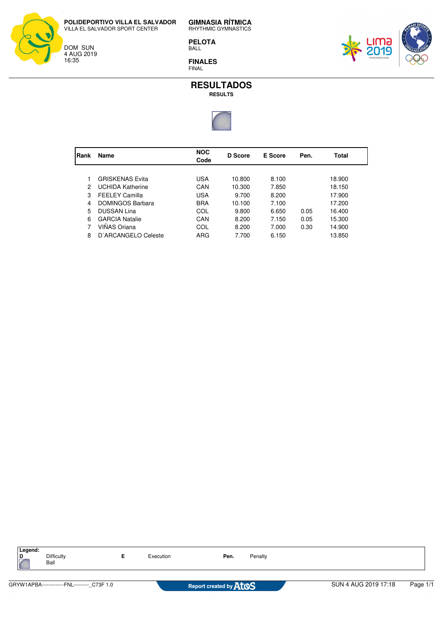DOM SUN 4 AUG 2019 16:35

 $\overline{\phantom{a}}$ 

**GIMNASIA RÍTMICA** RHYTHMIC GYMNASTICS

**PELOTA** BALL

**FINALES** FINAL





| Rank | Name                    | <b>NOC</b><br>Code | <b>D</b> Score | E Score | Pen. | Total  |  |
|------|-------------------------|--------------------|----------------|---------|------|--------|--|
|      |                         |                    |                |         |      |        |  |
|      | <b>GRISKENAS Evita</b>  | USA                | 10.800         | 8.100   |      | 18.900 |  |
| 2    | <b>UCHIDA Katherine</b> | CAN                | 10.300         | 7.850   |      | 18.150 |  |
| 3    | <b>FEELEY Camilla</b>   | USA                | 9.700          | 8.200   |      | 17.900 |  |
| 4    | <b>DOMINGOS Barbara</b> | <b>BRA</b>         | 10.100         | 7.100   |      | 17.200 |  |
| 5    | <b>DUSSAN Lina</b>      | COL                | 9.800          | 6.650   | 0.05 | 16.400 |  |
| 6    | <b>GARCIA Natalie</b>   | CAN                | 8.200          | 7.150   | 0.05 | 15.300 |  |
|      | VIÑAS Oriana            | COL                | 8.200          | 7.000   | 0.30 | 14.900 |  |
| 8    | D'ARCANGELO Celeste     | ARG                | 7.700          | 6.150   |      | 13.850 |  |
|      |                         |                    |                |         |      |        |  |

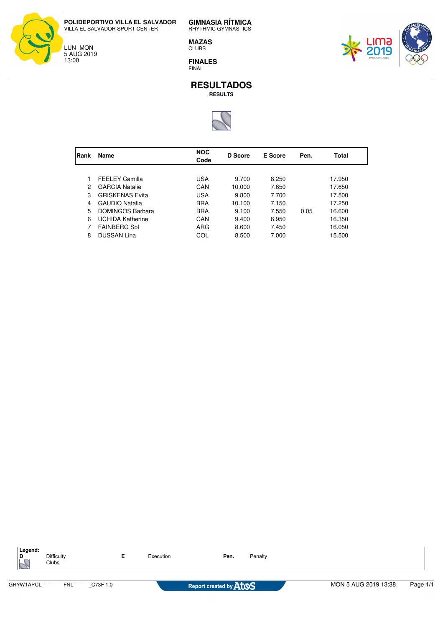LUN MON 5 AUG 2019 13:00

**GIMNASIA RÍTMICA** RHYTHMIC GYMNASTICS

**MAZAS** CLUBS

**FINALES** FINAL





| Rank | Name                    | <b>NOC</b><br>Code | D Score | <b>E</b> Score | Pen. | Total  |  |
|------|-------------------------|--------------------|---------|----------------|------|--------|--|
|      |                         |                    |         |                |      |        |  |
|      | <b>FEELEY Camilla</b>   | USA                | 9.700   | 8.250          |      | 17.950 |  |
| 2    | <b>GARCIA Natalie</b>   | CAN                | 10.000  | 7.650          |      | 17.650 |  |
| 3    | <b>GRISKENAS Evita</b>  | <b>USA</b>         | 9.800   | 7.700          |      | 17.500 |  |
| 4    | <b>GAUDIO Natalia</b>   | <b>BRA</b>         | 10.100  | 7.150          |      | 17.250 |  |
| 5    | <b>DOMINGOS Barbara</b> | <b>BRA</b>         | 9.100   | 7.550          | 0.05 | 16.600 |  |
| 6    | <b>UCHIDA Katherine</b> | CAN                | 9.400   | 6.950          |      | 16.350 |  |
|      | <b>FAINBERG Sol</b>     | ARG                | 8.600   | 7.450          |      | 16.050 |  |
| 8    | <b>DUSSAN Lina</b>      | COL                | 8.500   | 7.000          |      | 15.500 |  |